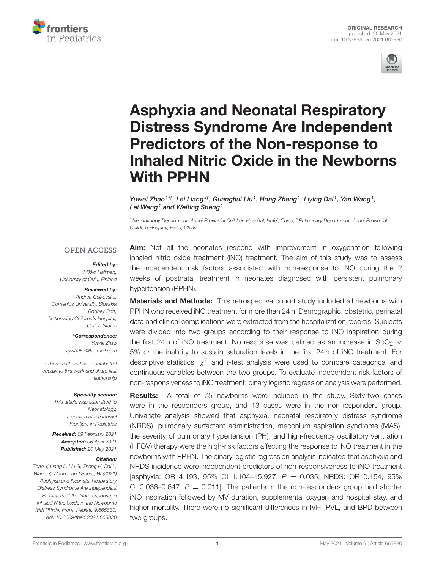



# Asphyxia and Neonatal Respiratory Distress Syndrome Are Independent Predictors of the Non-response to [Inhaled Nitric Oxide in the Newborns](https://www.frontiersin.org/articles/10.3389/fped.2021.665830/full) With PPHN

Yuwei Zhao <sup>1\*†</sup>, Lei Liang<sup>2†</sup>, Guanghui Liu <sup>1</sup>, Hong Zheng <sup>1</sup>, Liying Dai <sup>1</sup>, Yan Wang <sup>1</sup>, Lei Wang<sup>1</sup> and Weiting Sheng<sup>1</sup>

*<sup>1</sup> Neonatology Department, Anhui Provincial Children Hospital, Hefei, China, <sup>2</sup> Pulmonary Department, Anhui Provincial Children Hospital, Hefei, China*

#### **OPEN ACCESS**

#### Edited by:

*Mikko Hallman, University of Oulu, Finland*

#### Reviewed by:

*Andrea Calkovska, Comenius University, Slovakia Rodney Britt, Nationwide Children's Hospital, United States*

> \*Correspondence: *Yuwei Zhao [zyw3257@hotmail.com](mailto:zyw3257@hotmail.com)*

*†These authors have contributed equally to this work and share first authorship*

#### Specialty section:

*This article was submitted to Neonatology, a section of the journal Frontiers in Pediatrics*

Received: *09 February 2021* Accepted: *06 April 2021* Published: *20 May 2021*

#### Citation:

*Zhao Y, Liang L, Liu G, Zheng H, Dai L, Wang Y, Wang L and Sheng W (2021) Asphyxia and Neonatal Respiratory Distress Syndrome Are Independent Predictors of the Non-response to Inhaled Nitric Oxide in the Newborns With PPHN. Front. Pediatr. 9:665830. doi: [10.3389/fped.2021.665830](https://doi.org/10.3389/fped.2021.665830)*

**Aim:** Not all the neonates respond with improvement in oxygenation following inhaled nitric oxide treatment (iNO) treatment. The aim of this study was to assess the independent risk factors associated with non-response to iNO during the 2 weeks of postnatal treatment in neonates diagnosed with persistent pulmonary hypertension (PPHN).

**Materials and Methods:** This retrospective cohort study included all newborns with PPHN who received iNO treatment for more than 24 h. Demographic, obstetric, perinatal data and clinical complications were extracted from the hospitalization records. Subjects were divided into two groups according to their response to iNO inspiration during the first 24 h of iNO treatment. No response was defined as an increase in SpO<sub>2</sub>  $\lt$ 5% or the inability to sustain saturation levels in the first 24 h of iNO treatment. For descriptive statistics, χ <sup>2</sup> and *t*-test analysis were used to compare categorical and continuous variables between the two groups. To evaluate independent risk factors of non-responsiveness to iNO treatment, binary logistic regression analysis were performed.

**Results:** A total of 75 newborns were included in the study. Sixty-two cases were in the responders group, and 13 cases were in the non-responders group. Univariate analysis showed that asphyxia, neonatal respiratory distress syndrome (NRDS), pulmonary surfactant administration, meconium aspiration syndrome (MAS), the severity of pulmonary hypertension (PH), and high-frequency oscillatory ventilation (HFOV) therapy were the high-risk factors affecting the response to iNO treatment in the newborns with PPHN. The binary logistic regression analysis indicated that asphyxia and NRDS incidence were independent predictors of non-responsiveness to iNO treatment [asphyxia: OR 4.193, 95% CI 1.104–15.927, *P* = 0.035; NRDS: OR 0.154, 95% CI 0.036–0.647,  $P = 0.011$ ]. The patients in the non-responders group had shorter iNO inspiration followed by MV duration, supplemental oxygen and hospital stay, and higher mortality. There were no significant differences in IVH, PVL, and BPD between two groups.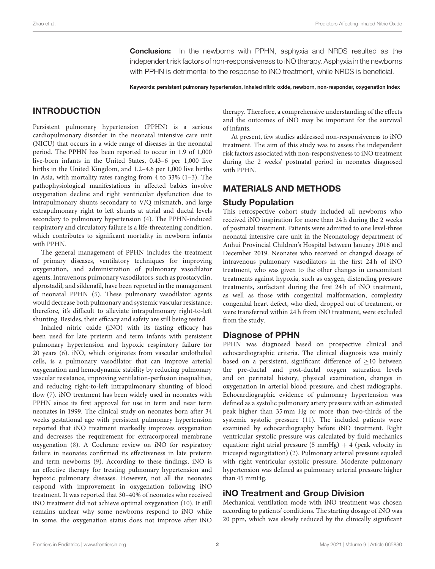**Conclusion:** In the newborns with PPHN, asphyxia and NRDS resulted as the independent risk factors of non-responsiveness to iNO therapy. Asphyxia in the newborns with PPHN is detrimental to the response to iNO treatment, while NRDS is beneficial.

Keywords: persistent pulmonary hypertension, inhaled nitric oxide, newborn, non-responder, oxygenation index

# INTRODUCTION

Persistent pulmonary hypertension (PPHN) is a serious cardiopulmonary disorder in the neonatal intensive care unit (NICU) that occurs in a wide range of diseases in the neonatal period. The PPHN has been reported to occur in 1.9 of 1,000 live-born infants in the United States, 0.43–6 per 1,000 live births in the United Kingdom, and 1.2–4.6 per 1,000 live births in Asia, with mortality rates ranging from 4 to  $33\%$  [\(1](#page-5-0)[–3\)](#page-5-1). The pathophysiological manifestations in affected babies involve oxygenation decline and right ventricular dysfunction due to intrapulmonary shunts secondary to V/Q mismatch, and large extrapulmonary right to left shunts at atrial and ductal levels secondary to pulmonary hypertension [\(4\)](#page-5-2). The PPHN-induced respiratory and circulatory failure is a life-threatening condition, which contributes to significant mortality in newborn infants with PPHN.

The general management of PPHN includes the treatment of primary diseases, ventilatory techniques for improving oxygenation, and administration of pulmonary vasodilator agents. Intravenous pulmonary vasodilators, such as prostacyclin, alprostadil, and sildenafil, have been reported in the management of neonatal PPHN [\(5\)](#page-5-3). These pulmonary vasodilator agents would decrease both pulmonary and systemic vascular resistance; therefore, it's difficult to alleviate intrapulmonary right-to-left shunting. Besides, their efficacy and safety are still being tested.

Inhaled nitric oxide (iNO) with its fasting efficacy has been used for late preterm and term infants with persistent pulmonary hypertension and hypoxic respiratory failure for 20 years [\(6\)](#page-5-4). iNO, which originates from vascular endothelial cells, is a pulmonary vasodilator that can improve arterial oxygenation and hemodynamic stability by reducing pulmonary vascular resistance, improving ventilation-perfusion inequalities, and reducing right-to-left intrapulmonary shunting of blood flow [\(7\)](#page-5-5). iNO treatment has been widely used in neonates with PPHN since its first approval for use in term and near term neonates in 1999. The clinical study on neonates born after 34 weeks gestational age with persistent pulmonary hypertension reported that iNO treatment markedly improves oxygenation and decreases the requirement for extracorporeal membrane oxygenation [\(8\)](#page-5-6). A Cochrane review on iNO for respiratory failure in neonates confirmed its effectiveness in late preterm and term newborns [\(9\)](#page-5-7). According to these findings, iNO is an effective therapy for treating pulmonary hypertension and hypoxic pulmonary diseases. However, not all the neonates respond with improvement in oxygenation following iNO treatment. It was reported that 30–40% of neonates who received iNO treatment did not achieve optimal oxygenation [\(10\)](#page-5-8). It still remains unclear why some newborns respond to iNO while in some, the oxygenation status does not improve after iNO

therapy. Therefore, a comprehensive understanding of the effects and the outcomes of iNO may be important for the survival of infants.

At present, few studies addressed non-responsiveness to iNO treatment. The aim of this study was to assess the independent risk factors associated with non-responsiveness to iNO treatment during the 2 weeks' postnatal period in neonates diagnosed with PPHN.

### MATERIALS AND METHODS

#### Study Population

This retrospective cohort study included all newborns who received iNO inspiration for more than 24 h during the 2 weeks of postnatal treatment. Patients were admitted to one level-three neonatal intensive care unit in the Neonatology department of Anhui Provincial Children's Hospital between January 2016 and December 2019. Neonates who received or changed dosage of intravenous pulmonary vasodilators in the first 24 h of iNO treatment, who was given to the other changes in concomitant treatments against hypoxia, such as oxygen, distending pressure treatments, surfactant during the first 24 h of iNO treatment, as well as those with congenital malformation, complexity congenital heart defect, who died, dropped out of treatment, or were transferred within 24 h from iNO treatment, were excluded from the study.

### Diagnose of PPHN

PPHN was diagnosed based on prospective clinical and echocardiographic criteria. The clinical diagnosis was mainly based on a persistent, significant difference of  $\geq$ 10 between the pre-ductal and post-ductal oxygen saturation levels and on perinatal history, physical examination, changes in oxygenation in arterial blood pressure, and chest radiographs. Echocardiographic evidence of pulmonary hypertension was defined as a systolic pulmonary artery pressure with an estimated peak higher than 35 mm Hg or more than two-thirds of the systemic systolic pressure [\(11\)](#page-6-0). The included patients were examined by echocardiography before iNO treatment. Right ventricular systolic pressure was calculated by fluid mechanics equation: right atrial pressure  $(5 \text{ mmHg}) + 4$  (peak velocity in tricuspid regurgitation) [\(2\)](#page-5-9). Pulmonary arterial pressure equaled with right ventricular systolic pressure. Moderate pulmonary hypertension was defined as pulmonary arterial pressure higher than 45 mmHg.

# iNO Treatment and Group Division

Mechanical ventilation mode with iNO treatment was chosen according to patients' conditions. The starting dosage of iNO was 20 ppm, which was slowly reduced by the clinically significant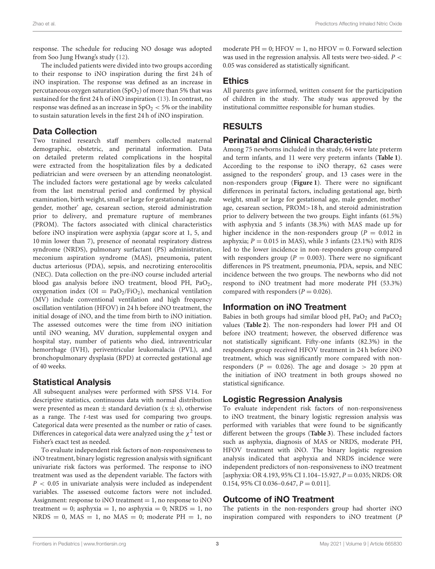response. The schedule for reducing NO dosage was adopted from Soo Jung Hwang's study [\(12\)](#page-6-1).

The included patients were divided into two groups according to their response to iNO inspiration during the first 24 h of iNO inspiration. The response was defined as an increase in percutaneous oxygen saturation  $(SpO<sub>2</sub>)$  of more than 5% that was sustained for the first 24 h of iNO inspiration [\(13\)](#page-6-2). In contrast, no response was defined as an increase in  $SpO<sub>2</sub> < 5%$  or the inability to sustain saturation levels in the first 24 h of iNO inspiration.

### Data Collection

Two trained research staff members collected maternal demographic, obstetric, and perinatal information. Data on detailed preterm related complications in the hospital were extracted from the hospitalization files by a dedicated pediatrician and were overseen by an attending neonatologist. The included factors were gestational age by weeks calculated from the last menstrual period and confirmed by physical examination, birth weight, small or large for gestational age, male gender, mother' age, cesarean section, steroid administration prior to delivery, and premature rupture of membranes (PROM). The factors associated with clinical characteristics before iNO inspiration were asphyxia (apgar score at 1, 5, and 10 min lower than 7), presence of neonatal respiratory distress syndrome (NRDS), pulmonary surfactant (PS) administration, meconium aspiration syndrome (MAS), pneumonia, patent ductus arteriosus (PDA), sepsis, and necrotizing enterocolitis (NEC). Data collection on the pre-iNO course included arterial blood gas analysis before iNO treatment, blood PH, PaO2, oxygenation index ( $OI = PaO<sub>2</sub>/FiO<sub>2</sub>$ ), mechanical ventilation (MV) include conventional ventilation and high frequency oscillation ventilation (HFOV) in 24 h before iNO treatment, the initial dosage of iNO, and the time from birth to iNO initiation. The assessed outcomes were the time from iNO initiation until iNO weaning, MV duration, supplemental oxygen and hospital stay, number of patients who died, intraventricular hemorrhage (IVH), periventricular leukomalacia (PVL), and bronchopulmonary dysplasia (BPD) at corrected gestational age of 40 weeks.

# Statistical Analysis

All subsequent analyses were performed with SPSS V14. For descriptive statistics, continuous data with normal distribution were presented as mean  $\pm$  standard deviation (x  $\pm$  s), otherwise as a range. The t-test was used for comparing two groups. Categorical data were presented as the number or ratio of cases. Differences in categorical data were analyzed using the  $\chi^2$  test or Fisher's exact test as needed.

To evaluate independent risk factors of non-responsiveness to iNO treatment, binary logistic regression analysis with significant univariate risk factors was performed. The response to iNO treatment was used as the dependent variable. The factors with  $P < 0.05$  in univariate analysis were included as independent variables. The assessed outcome factors were not included. Assignment: response to iNO treatment  $= 1$ , no response to iNO treatment = 0; asphyxia = 1, no asphyxia = 0; NRDS = 1, no  $NRDS = 0$ ,  $MAS = 1$ , no  $MAS = 0$ ; moderate  $PH = 1$ , no moderate  $PH = 0$ ;  $HFOV = 1$ , no  $HFOV = 0$ . Forward selection was used in the regression analysis. All tests were two-sided.  $P <$ 0.05 was considered as statistically significant.

### Ethics

All parents gave informed, written consent for the participation of children in the study. The study was approved by the institutional committee responsible for human studies.

# RESULTS

### Perinatal and Clinical Characteristic

Among 75 newborns included in the study, 64 were late preterm and term infants, and 11 were very preterm infants (**[Table 1](#page-3-0)**). According to the response to iNO therapy, 62 cases were assigned to the responders' group, and 13 cases were in the non-responders group (**[Figure 1](#page-4-0)**). There were no significant differences in perinatal factors, including gestational age, birth weight, small or large for gestational age, male gender, mother' age, cesarean section, PROM>18 h, and steroid administration prior to delivery between the two groups. Eight infants (61.5%) with asphyxia and 5 infants (38.3%) with MAS made up for higher incidence in the non-responders group ( $P = 0.012$  in asphyxia;  $P = 0.015$  in MAS), while 3 infants (23.1%) with RDS led to the lower incidence in non-responders group compared with responders group ( $P = 0.003$ ). There were no significant differences in PS treatment, pneumonia, PDA, sepsis, and NEC incidence between the two groups. The newborns who did not respond to iNO treatment had more moderate PH (53.3%) compared with responders ( $P = 0.026$ ).

# Information on iNO Treatment

Babies in both groups had similar blood pH,  $PaO<sub>2</sub>$  and  $PaCO<sub>2</sub>$ values (**[Table 2](#page-4-1)**). The non-responders had lower PH and OI before iNO treatment; however, the observed difference was not statistically significant. Fifty-one infants (82.3%) in the responders group received HFOV treatment in 24 h before iNO treatment, which was significantly more compared with nonresponders ( $P = 0.026$ ). The age and dosage  $> 20$  ppm at the initiation of iNO treatment in both groups showed no statistical significance.

# Logistic Regression Analysis

To evaluate independent risk factors of non-responsiveness to iNO treatment, the binary logistic regression analysis was performed with variables that were found to be significantly different between the groups (**[Table 3](#page-4-2)**). These included factors such as asphyxia, diagnosis of MAS or NRDS, moderate PH, HFOV treatment with iNO. The binary logistic regression analysis indicated that asphyxia and NRDS incidence were independent predictors of non-responsiveness to iNO treatment [asphyxia: OR 4.193, 95% CI 1.104-15.927,  $P = 0.035$ ; NRDS: OR 0.154, 95% CI 0.036-0.647,  $P = 0.011$ .

# Outcome of iNO Treatment

The patients in the non-responders group had shorter iNO inspiration compared with responders to iNO treatment (P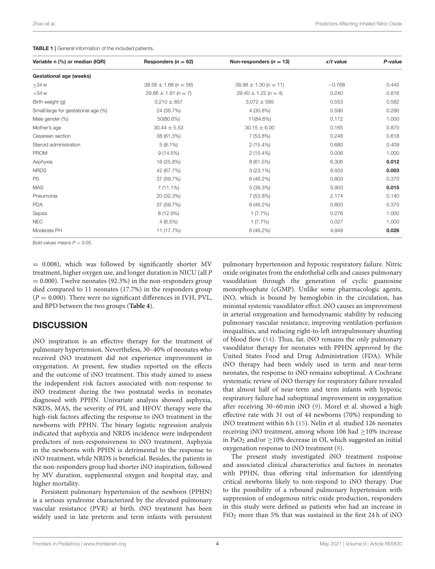<span id="page-3-0"></span>

| <b>TABLE 1</b>   General information of the included patients. |
|----------------------------------------------------------------|
|----------------------------------------------------------------|

| Variable n (%) or median (IQR)      | Responders $(n = 62)$     | Non-responders ( $n = 13$ ) | $x/t$ value | P-value |
|-------------------------------------|---------------------------|-----------------------------|-------------|---------|
| Gestational age (weeks)             |                           |                             |             |         |
| $\geq$ 34 w                         | $38.58 \pm 1.66 (n = 56)$ | $38.98 \pm 1.30 (n = 11)$   | $-0.768$    | 0.445   |
| $<$ 34 $w$                          | $29.66 \pm 1.91 (n = 7)$  | $29.40 \pm 1.22 (n = 4)$    | 0.240       | 0.816   |
| Birth weight (g)                    | $3,210 \pm 857$           | $3,072 \pm 585$             | 0.553       | 0.582   |
| Small/large for gestational age (%) | 24 (38.7%)                | 4 (30.8%)                   | 0.590       | 0.290   |
| Male gender (%)                     | 50(80.6%)                 | 11(84.6%)                   | 0.112       | 1.000   |
| Mother's age                        | $30.44 \pm 5.53$          | $30.15 \pm 6.00$            | 0.165       | 0.870   |
| Cesarean section                    | 38 (61.3%)                | 7 (53.8%)                   | 0.248       | 0.618   |
| Steroid administration              | $5(8.1\%)$                | $2(15.4\%)$                 | 0.680       | 0.409   |
| <b>PROM</b>                         | 9(14.5%)                  | $2(15.4\%)$                 | 0.006       | 1.000   |
| Asphyxia                            | 16 (25.8%)                | 8 (61.5%)                   | 6.306       | 0.012   |
| <b>NRDS</b>                         | 42 (67.7%)                | $3(23.1\%)$                 | 8.933       | 0.003   |
| PS                                  | 37 (59.7%)                | 6 (46.2%)                   | 0.803       | 0.370   |
| <b>MAS</b>                          | $7(11.1\%)$               | 5(38.3%)                    | 5.903       | 0.015   |
| Pneumonia                           | 20 (32.3%)                | 7 (53.8%)                   | 2.174       | 0.140   |
| <b>PDA</b>                          | 37 (59.7%)                | 6 (46.2%)                   | 0.803       | 0.370   |
| Sepsis                              | 8 (12.9%)                 | 1(7.7%)                     | 0.276       | 1.000   |
| <b>NEC</b>                          | $4(6.5\%)$                | 1(7.7%)                     | 0.027       | 1.000   |
| Moderate PH                         | 11 (17.7%)                | 6(46.2%)                    | 4.949       | 0.026   |

*Bold values means P* < *0.05.*

= 0.008), which was followed by significantly shorter MV treatment, higher oxygen use, and longer duration in NICU (all P  $= 0.000$ ). Twelve neonates (92.3%) in the non-responders group died compared to 11 neonates (17.7%) in the responders group  $(P = 0.000)$ . There were no significant differences in IVH, PVL, and BPD between the two groups (**[Table 4](#page-4-3)**).

#### **DISCUSSION**

iNO inspiration is an effective therapy for the treatment of pulmonary hypertension. Nevertheless, 30–40% of neonates who received iNO treatment did not experience improvement in oxygenation. At present, few studies reported on the effects and the outcome of iNO treatment. This study aimed to assess the independent risk factors associated with non-response to iNO treatment during the two postnatal weeks in neonates diagnosed with PPHN. Univariate analysis showed asphyxia, NRDS, MAS, the severity of PH, and HFOV therapy were the high-risk factors affecting the response to iNO treatment in the newborns with PPHN. The binary logistic regression analysis indicated that asphyxia and NRDS incidence were independent predictors of non-responsiveness to iNO treatment. Asphyxia in the newborns with PPHN is detrimental to the response to iNO treatment, while NRDS is beneficial. Besides, the patients in the non-responders group had shorter iNO inspiration, followed by MV duration, supplemental oxygen and hospital stay, and higher mortality.

Persistent pulmonary hypertension of the newborn (PPHN) is a serious syndrome characterized by the elevated pulmonary vascular resistance (PVR) at birth. iNO treatment has been widely used in late preterm and term infants with persistent pulmonary hypertension and hypoxic respiratory failure. Nitric oxide originates from the endothelial cells and causes pulmonary vasodilation through the generation of cyclic guanosine monophosphate (cGMP). Unlike some pharmacologic agents, iNO, which is bound by hemoglobin in the circulation, has minimal systemic vasodilator effect. iNO causes an improvement in arterial oxygenation and hemodynamic stability by reducing pulmonary vascular resistance, improving ventilation-perfusion inequalities, and reducing right-to-left intrapulmonary shunting of blood flow [\(14\)](#page-6-3). Thus, far, iNO remains the only pulmonary vasodilator therapy for neonates with PPHN approved by the United States Food and Drug Administration (FDA). While iNO therapy had been widely used in term and near-term neonates, the response to iNO remains suboptimal. A Cochrane systematic review of iNO therapy for respiratory failure revealed that almost half of near-term and term infants with hypoxic respiratory failure had suboptimal improvement in oxygenation after receiving 30–60 min iNO [\(9\)](#page-5-7). Morel et al. showed a high effective rate with 31 out of 44 newborns (70%) responding to iNO treatment within 6 h [\(15\)](#page-6-4). Nelin et al. studied 126 neonates receiving iNO treatment, among whom 106 had ≥10% increase in PaO<sub>2</sub> and/or  $\geq$ 10% decrease in OI, which suggested an initial oxygenation response to iNO treatment [\(8\)](#page-5-6).

The present study investigated iNO treatment response and associated clinical characteristics and factors in neonates with PPHN, thus offering vital information for identifying critical newborns likely to non-respond to iNO therapy. Due to the possibility of a rebound pulmonary hypertension with suppression of endogenous nitric oxide production, responders in this study were defined as patients who had an increase in  $FiO<sub>2</sub>$  more than 5% that was sustained in the first 24 h of iNO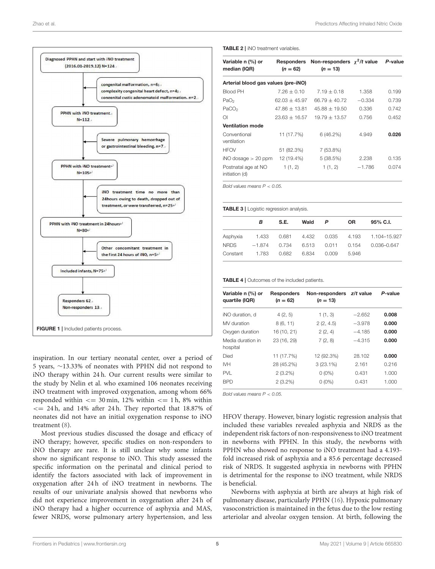

<span id="page-4-0"></span>inspiration. In our tertiary neonatal center, over a period of 5 years, ∼13.33% of neonates with PPHN did not respond to iNO therapy within 24 h. Our current results were similar to the study by Nelin et al. who examined 106 neonates receiving iNO treatment with improved oxygenation, among whom 66% responded within  $\leq$  30 min, 12% within  $\leq$  1 h, 8% within  $\epsilon$  = 24 h, and 14% after 24 h. They reported that 18.87% of neonates did not have an initial oxygenation response to iNO treatment [\(8\)](#page-5-6).

Most previous studies discussed the dosage and efficacy of iNO therapy; however, specific studies on non-responders to iNO therapy are rare. It is still unclear why some infants show no significant response to iNO. This study assessed the specific information on the perinatal and clinical period to identify the factors associated with lack of improvement in oxygenation after 24 h of iNO treatment in newborns. The results of our univariate analysis showed that newborns who did not experience improvement in oxygenation after 24 h of iNO therapy had a higher occurrence of asphyxia and MAS, fewer NRDS, worse pulmonary artery hypertension, and less

#### <span id="page-4-1"></span>TABLE 2 | iNO treatment variables.

| Variable n (%) or<br>median (IQR)     | Responders<br>$(n = 62)$ | Non-responders $\chi^2/t$ value<br>$(n = 13)$ |          | P-value |  |  |  |
|---------------------------------------|--------------------------|-----------------------------------------------|----------|---------|--|--|--|
| Arterial blood gas values (pre-iNO)   |                          |                                               |          |         |  |  |  |
| <b>Blood PH</b>                       | $7.26 + 0.10$            | $7.19 + 0.18$                                 | 1.358    | 0.199   |  |  |  |
| PaO <sub>2</sub>                      | $62.03 + 45.97$          | $66.79 + 40.72$                               | $-0.334$ | 0.739   |  |  |  |
| PaCO <sub>2</sub>                     | $47.86 + 13.81$          | $45.88 + 19.50$                               | 0.336    | 0.742   |  |  |  |
| $\Omega$                              | $23.63 + 16.57$          | $19.79 + 13.57$                               | 0.756    | 0.452   |  |  |  |
| <b>Ventilation mode</b>               |                          |                                               |          |         |  |  |  |
| Conventional<br>ventilation           | 11 (17.7%)               | 6(46.2%)                                      | 4.949    | 0.026   |  |  |  |
| <b>HFOV</b>                           | 51 (82.3%)               | 7 (53.8%)                                     |          |         |  |  |  |
| $iNO$ dosage $> 20$ ppm               | 12 (19.4%)               | 5(38.5%)                                      | 2.238    | 0.135   |  |  |  |
| Postnatal age at NO<br>initiation (d) | 1(1, 2)                  | 1(1, 2)                                       | $-1.786$ | 0.074   |  |  |  |

*Bold values means P* < *0.05.*

<span id="page-4-2"></span>TABLE 3 | Logistic regression analysis.

|             | в        | S.E.        | Wald  | P     | OR.   | $95\%$ C.I.  |
|-------------|----------|-------------|-------|-------|-------|--------------|
| Asphyxia    | 1.433    | 0.681 4.432 |       | 0.035 | 4.193 | 1.104-15.927 |
| <b>NRDS</b> | $-1.874$ | 0.734       | 6.513 | 0.011 | 0.154 | 0.036-0.647  |
| Constant    | 1.783    | 0.682       | 6.834 | 0.009 | 5946  |              |

<span id="page-4-3"></span>TABLE 4 | Outcomes of the included patients.

| Variable n (%) or<br>quartile (IQR) | <b>Responders</b><br>$(n = 62)$ | Non-responders z/t value<br>$(n = 13)$ |          | P-value |
|-------------------------------------|---------------------------------|----------------------------------------|----------|---------|
| iNO duration, d                     | 4(2, 5)                         | 1(1, 3)                                | $-2.652$ | 0.008   |
| MV duration                         | 8(6, 11)                        | 2(2, 4.5)                              | $-3.978$ | 0.000   |
| Oxygen duration                     | 16 (10, 21)                     | 2(2, 4)                                | $-4.185$ | 0.000   |
| Media duration in<br>hospital       | 23 (16, 29)                     | 7(2, 8)                                | $-4.315$ | 0.000   |
| Died                                | 11 (17.7%)                      | 12 (92.3%)                             | 28.102   | 0.000   |
| <b>IVH</b>                          | 28 (45.2%)                      | $3(23.1\%)$                            | 2.161    | 0.216   |
| <b>PVL</b>                          | $2(3.2\%)$                      | $0(0\%)$                               | 0.431    | 1.000   |
| <b>BPD</b>                          | $2(3.2\%)$                      | $0(0\%)$                               | 0.431    | 1.000   |

*Bold values means P* < *0.05.*

HFOV therapy. However, binary logistic regression analysis that included these variables revealed asphyxia and NRDS as the independent risk factors of non-responsiveness to iNO treatment in newborns with PPHN. In this study, the newborns with PPHN who showed no response to iNO treatment had a 4.193 fold increased risk of asphyxia and a 85.6 percentage decreased risk of NRDS. It suggested asphyxia in newborns with PPHN is detrimental for the response to iNO treatment, while NRDS is beneficial.

Newborns with asphyxia at birth are always at high risk of pulmonary disease, particularly PPHN [\(16\)](#page-6-5). Hypoxic pulmonary vasoconstriction is maintained in the fetus due to the low resting arteriolar and alveolar oxygen tension. At birth, following the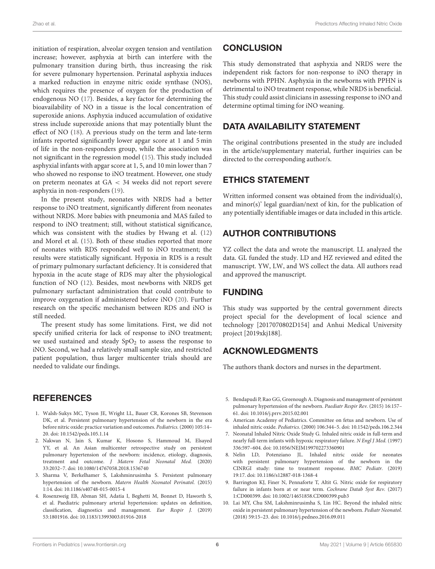initiation of respiration, alveolar oxygen tension and ventilation increase; however, asphyxia at birth can interfere with the pulmonary transition during birth, thus increasing the risk for severe pulmonary hypertension. Perinatal asphyxia induces a marked reduction in enzyme nitric oxide synthase (NOS), which requires the presence of oxygen for the production of endogenous NO [\(17\)](#page-6-6). Besides, a key factor for determining the bioavailability of NO in a tissue is the local concentration of superoxide anions. Asphyxia induced accumulation of oxidative stress include superoxide anions that may potentially blunt the effect of NO [\(18\)](#page-6-7). A previous study on the term and late-term infants reported significantly lower apgar score at 1 and 5 min of life in the non-responders group, while the association was not significant in the regression model [\(15\)](#page-6-4). This study included asphyxial infants with apgar score at 1, 5, and 10 min lower than 7 who showed no response to iNO treatment. However, one study on preterm neonates at GA < 34 weeks did not report severe asphyxia in non-responders [\(19\)](#page-6-8).

In the present study, neonates with NRDS had a better response to iNO treatment, significantly different from neonates without NRDS. More babies with pneumonia and MAS failed to respond to iNO treatment; still, without statistical significance, which was consistent with the studies by Hwang et al. [\(12\)](#page-6-1) and Morel et al. [\(15\)](#page-6-4). Both of these studies reported that more of neonates with RDS responded well to iNO treatment; the results were statistically significant. Hypoxia in RDS is a result of primary pulmonary surfactant deficiency. It is considered that hypoxia in the acute stage of RDS may alter the physiological function of NO [\(12\)](#page-6-1). Besides, most newborns with NRDS get pulmonary surfactant administration that could contribute to improve oxygenation if administered before iNO [\(20\)](#page-6-9). Further research on the specific mechanism between RDS and iNO is still needed.

The present study has some limitations. First, we did not specify unified criteria for lack of response to iNO treatment; we used sustained and steady  $SpO<sub>2</sub>$  to assess the response to iNO. Second, we had a relatively small sample size, and restricted patient population, thus larger multicenter trials should are needed to validate our findings.

# **REFERENCES**

- <span id="page-5-0"></span>1. Walsh-Sukys MC, Tyson JE, Wright LL, Bauer CR, Korones SB, Stevenson DK, et al. Persistent pulmonary hypertension of the newborn in the era before nitric oxide: practice variation and outcomes. Pediatrics.(2000) 105:14– 20. doi: [10.1542/peds.105.1.14](https://doi.org/10.1542/peds.105.1.14)
- <span id="page-5-9"></span>2. Nakwan N, Jain S, Kumar K, Hosono S, Hammoud M, Elsayed YY, et al. An Asian multicenter retrospective study on persistent pulmonary hypertension of the newborn: incidence, etiology, diagnosis, treatment and outcome. J Matern Fetal Neonatal Med. (2020) 33:2032–7. doi: [10.1080/14767058.2018.1536740](https://doi.org/10.1080/14767058.2018.1536740)
- <span id="page-5-1"></span>3. Sharma V, Berkelhamer S, Lakshminrusimha S. Persistent pulmonary hypertension of the newborn. Matern Health Neonatol Perinatol. (2015) 1:14. doi: [10.1186/s40748-015-0015-4](https://doi.org/10.1186/s40748-015-0015-4)
- <span id="page-5-2"></span>4. Rosenzweig EB, Abman SH, Adatia I, Beghetti M, Bonnet D, Haworth S, et al. Paediatric pulmonary arterial hypertension: updates on definition, classification, diagnostics and management. Eur Respir J. (2019) 53:1801916. doi: [10.1183/13993003.01916-2018](https://doi.org/10.1183/13993003.01916-2018)

# **CONCLUSION**

This study demonstrated that asphyxia and NRDS were the independent risk factors for non-response to iNO therapy in newborns with PPHN. Asphyxia in the newborns with PPHN is detrimental to iNO treatment response, while NRDS is beneficial. This study could assist clinicians in assessing response to iNO and determine optimal timing for iNO weaning.

# DATA AVAILABILITY STATEMENT

The original contributions presented in the study are included in the article/supplementary material, further inquiries can be directed to the corresponding author/s.

# ETHICS STATEMENT

Written informed consent was obtained from the individual(s), and minor(s)' legal guardian/next of kin, for the publication of any potentially identifiable images or data included in this article.

# AUTHOR CONTRIBUTIONS

YZ collect the data and wrote the manuscript. LL analyzed the data. GL funded the study. LD and HZ reviewed and edited the manuscript. YW, LW, and WS collect the data. All authors read and approved the manuscript.

# FUNDING

This study was supported by the central government directs project special for the development of local science and technology [2017070802D154] and Anhui Medical University project [2019xkj188].

# ACKNOWLEDGMENTS

The authors thank doctors and nurses in the department.

- <span id="page-5-3"></span>5. Bendapudi P, Rao GG, Greenough A. Diagnosis and management of persistent pulmonary hypertension of the newborn. Paediatr Respir Rev. (2015) 16:157– 61. doi: [10.1016/j.prrv.2015.02.001](https://doi.org/10.1016/j.prrv.2015.02.001)
- <span id="page-5-4"></span>6. American Academy of Pediatrics. Committee on fetus and newborn. Use of inhaled nitric oxide. Pediatrics. (2000) 106:344–5. doi: [10.1542/peds.106.2.344](https://doi.org/10.1542/peds.106.2.344)
- <span id="page-5-5"></span>7. Neonatal Inhaled Nitric Oxide Study G. Inhaled nitric oxide in full-term and nearly full-term infants with hypoxic respiratory failure. N Engl J Med. (1997) 336:597–604. doi: [10.1056/NEJM199702273360901](https://doi.org/10.1056/NEJM199702273360901)
- <span id="page-5-6"></span>8. Nelin LD, Potenziano JL. Inhaled nitric oxide for neonates with persistent pulmonary hypertension of the newborn in the CINRGI study: time to treatment response. BMC Pediatr. (2019) 19:17. doi: [10.1186/s12887-018-1368-4](https://doi.org/10.1186/s12887-018-1368-4)
- <span id="page-5-7"></span>9. Barrington KJ, Finer N, Pennaforte T, Altit G. Nitric oxide for respiratory failure in infants born at or near term. Cochrane Datab Syst Rev. (2017) 1:CD000399. doi: [10.1002/14651858.CD000399.pub3](https://doi.org/10.1002/14651858.CD000399.pub3)
- <span id="page-5-8"></span>10. Lai MY, Chu SM, Lakshminrusimha S, Lin HC. Beyond the inhaled nitric oxide in persistent pulmonary hypertension of the newborn. Pediatr Neonatol. (2018) 59:15–23. doi: [10.1016/j.pedneo.2016.09.011](https://doi.org/10.1016/j.pedneo.2016.09.011)